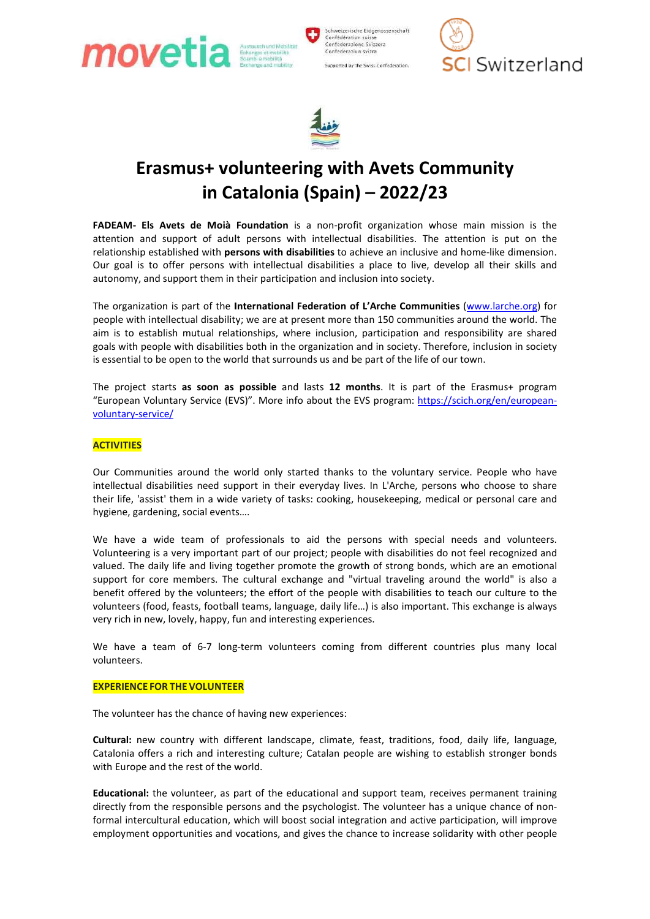

Schweizerische Eidgenossenschaft<br>Confédération suisse Confederazione Svizzera Confederaziun svizra Supported by the Swiss Confederation





# Erasmus+ volunteering with Avets Community Erasmus+ volunteering in Catalonia (Spain) in Catalonia (Spain) – 2022/23

FADEAM- Els Avets de Moià Foundation is a non-profit organization whose main mission is the attention and support of adult persons with intellectual disabilities. The attention is put on the relationship established with persons with disabilities to achieve an inclusive and home-Our goal is to offer persons with intellectual disabilities a place to live, develop all their skills and<br>autonomy, and support them in their participation and inclusion into society. autonomy, and support them in their participation and inclusion into society.

The organization is part of the International Federation of L'Arche Communities (www.larche.org) for people with intellectual disability; we are at present more than 150 communities around the world. The aim is to establish mutual relationships, where inclusion, participation and responsibility are shared goals with people with disabilities both in the organization and in society. Therefore, inclusion in society is essential to be open to the world that surrounds us and be part of the life of our town. aim is to establish mutual relationships, where inclusion, participation and responsibility are shared goals with people with disabilities both in the organization and in society. Therefore, inclusion in society is essenti

"European Voluntary Service (EVS)". More info about the EVS program: https://scich.org/en/europeanvoluntary-service/

## **ACTIVITIES**

Our Communities around the world only started thanks to the voluntary service. People who have Our Communities around the world only started thanks to the voluntary service. People who have intellectual disabilities need support in their everyday lives. In L'Arche, persons who choose to share their life, 'assist' them in a wide variety of tasks: cooking, housekeeping, medical or personal care and hygiene, gardening, social events…. their life, 'assist' them in a wide variety of tasks: cooking, housekeeping, medical or personal care and<br>hygiene, gardening, social events....<br>We have a wide team of professionals to aid the persons with special needs and

Volunteering is a very important part of our project; people with disabilities do not feel recognized and valued. The daily life and living together promote the growth of strong bonds, which are an emotional support for core members. The cultural exchange and "virtual traveling around the world" is also a benefit offered by the volunteers; the effort of the people with disabilities to teach our culture to the volunteers (food, feasts, football teams, language, daily life...) is also important. This exchange is always very rich in new, lovely, happy, fun and interesting experiences. a very important part of our project; people with disabilities do not feel recognized and ly life and living together promote the growth of strong bonds, which are an emotional e members. The cultural exchange and "virtual **ets de Moia Foundation is a non-profit organization whose main mission is the none of the none has the methom is point of the methom is point of the dimension with distabilities to achieve an includist constressor the mis** port in their everyday lives. In L'Arche, persons who choose to share<br>variety of tasks: cooking, housekeeping, medical or personal care and<br>the straictions, the persons with special needs and volunteers.<br>part of our projec

We have a team of 6-7 long-term volunteers coming from different countries plus many local volunteers.

## **EXPERIENCE FOR THE VOLUNTEER**

The volunteer has the chance of having new experiences:

The volunteer has the chance of having new experiences:<br>Cultural: new country with different landscape, climate, feast, traditions, food, daily life, language, Catalonia offers a rich and interesting culture; Catalan people are wishing to establish stronger bonds with Europe and the rest of the world. Catalonia offers a rich and interesting culture; Catalan people are wishing to establish stronger bonds<br>with Europe and the rest of the world.<br>Educational: the volunteer, as part of the educational and support team, receiv

directly from the responsible persons and the psychologist. The volunteer has a unique chance of non formal intercultural education, which will boost social integration and active participation, will improve employment opportunities and vocations, and gives the chance to increase solidarity with other people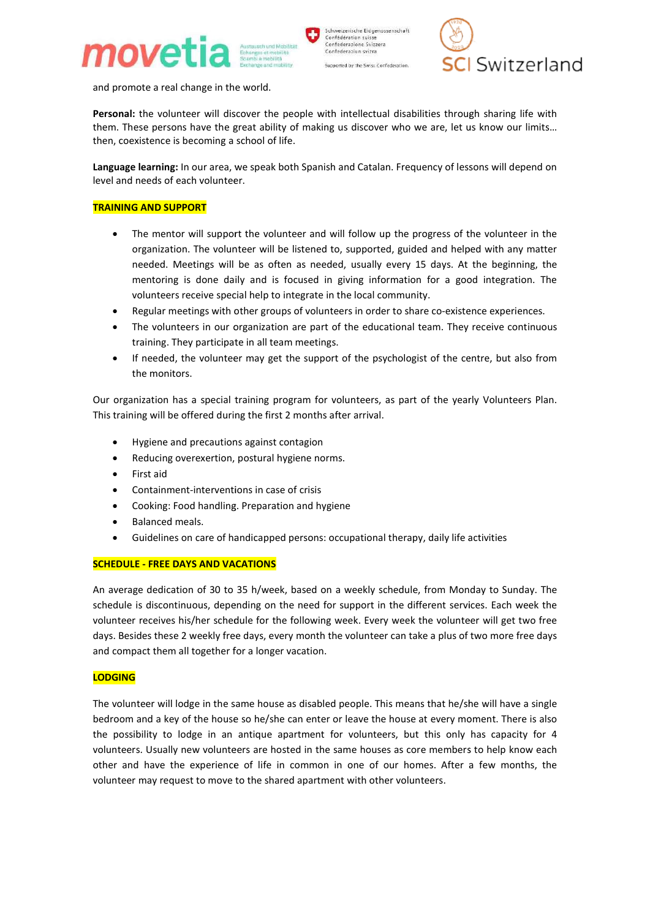



and promote a real change in the world.

Personal: the volunteer will discover the people with intellectual disabilities through sharing life with them. These persons have the great ability of making us discover who we are, let us know our limits… then, coexistence is becoming a school of life. real change in the world.<br>volunteer will discover the people with intellectual disabilities through sharing life with<br>ersons have the great ability of making us discover who we are, let us know our limits...<br>ice is becomin

Language learning: In our area, we speak both Spanish and Catalan. Frequency of lessons will depend on level and needs of each volunteer.

## TRAINING AND SUPPORT

- The mentor will support the volunteer and will follow up the progress of the volunteer in the organization. The volunteer will be listened to, supported, guided and helped with any matter needed. Meetings will be as often as needed, usually every 15 days. At the beginning, the mentoring is done daily and is focused in giving information for a good integration. The volunteers receive special help to integrate in the local community. **and Catalan.** Frequency of lessons will depend on needs of each volunteer.<br> **G AND SUPPORT**<br> **COMPORT**<br> **COMPORT**<br> **COMPORT**<br> **COMPORT**<br> **COMPORT**<br> **COMPORT**<br> **COMPORT**<br> **COMPORT**<br> **COMPORT**<br> **COMPORT**<br> **COMPORT**<br> **COMPOR**
- Regular meetings with other groups of volunteers in order to share co existence experiences.
- The volunteers in our organization are part of the educational team. They receive continuous training. They participate in all team meetings.
- If needed, the volunteer may get the support of the psychologist of the centre, but also from the monitors. in our organization are part of the educational team. They receive continuous<br>They participate in all team meetings.<br>I, the volunteer may get the support of the psychologist of the centre, but also from<br>tors.<br>has a special

Our organization has a special training program for volunteers, as part of the yearly Volunteers Plan. This training will be offered during the first 2 months after arrival.

- Hygiene and precautions against contagion
- Reducing overexertion, postural hygiene norms.
- First aid
- Containment-interventions in case of crisis
- Cooking: Food handling. Preparation and hygiene
- Balanced meals.
- Guidelines on care of handicapped persons: occupational therapy, daily life activities

## SCHEDULE - FREE DAYS AND VACATIONS

An average dedication of 30 to 35 h/week, based on a weekly schedule, from Monday to Sunday. The schedule is discontinuous, depending on the need for support in the different services. Each week the volunteer receives his/her schedule for the following week. Every week the volunteer will get two free days. Besides these 2 weekly free days, every month the volunteer can take a plus of two more free days and compact them all together for a longer vacation. days. Besides these 2 weekly free days, every month the volunteer can take a plus of two more free days<br>and compact them all together for a longer vacation.<br><mark>LODGING</mark><br>The volunteer will lodge in the same house as disabled interventions in case of crisis<br>interventions and hygiene<br>anced meals.<br>delines on care of handicapped persons: occupational therapy, daily life activities<br>**FREE DAYS AND VACATIONS**<br>dedication of 30 to 35 h/week, based on a

## LODGING

bedroom and a key of the house so he/she can enter or leave the house at every moment. There is also bedroom and a key of the house so he/she can enter or leave the house at every moment. There is also<br>the possibility to lodge in an antique apartment for volunteers, but this only has capacity for 4 volunteers. Usually new volunteers are hosted in the same houses as core members to help know each other and have the experience of life in common in one of our homes. After a few months, the volunteer may request to move to the shared apartment with other volunteers. new volunteers are hosted in the same houses as core members to help know each<br>e experience of life in common in one of our homes. After a few months, the<br>est to move to the shared apartment with other volunteers. k. Every week the volunteer will get two free<br>blunteer can take a plus of two more free days<br>pple. This means that he/she will have a single<br>ave the house at every moment. There is also<br>olunteers, but this only has capacit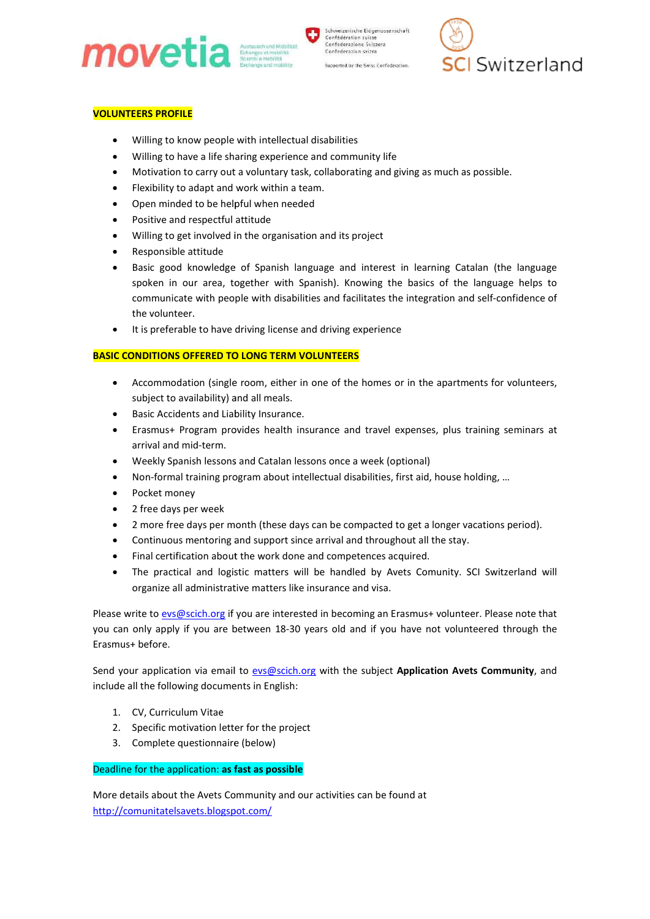



# VOLUNTEERS PROFILE

- Willing to know people with intellectual disabilities
- Willing to have a life sharing experience and community life
- Motivation to carry out a voluntary task, collaborating and giving as much as possible.
- Flexibility to adapt and work within a team.
- Open minded to be helpful when needed
- Positive and respectful attitude
- Willing to get involved in the organisation and its project
- Responsible attitude
- Basic good knowledge of Spanish language and interest in learning Catalan (the language spoken in our area, together with Spanish). Knowing the basics of the language helps to communicate with people with disabilities and facilitates the integration and self the volunteer. position to carry out a voluntary task, collaborating and giving as much as possible.<br>ation to carry out a voluntary task, collaborating and giving as much as possible.<br>lilty to adapt and work within a team.<br>minded to be h spoken in our area, together with Spanish). Knowing the basics of the communicate with people with disabilities and facilitates the integration and<br>the volunteer.<br>It is preferable to have driving license and driving experi est in learning Catalan (the language<br>the basics of the language helps to<br>s the integration and self-confidence of
- It is preferable to have driving license and driving experience

## BASIC CONDITIONS OFFERED TO LONG TERM VOLUNTEERS

- Accommodation (single room, either in one of the homes or in the apartments for volunteers, subject to availability) and all meals.
- Basic Accidents and Liability Insurance.
- Erasmus+ Program provides health insurance and travel expenses, plus training seminars at arrival and mid-term. Accommodation (single room, either in one of the homes or in the apartments for volunteers,<br>subject to availability) and all meals.<br>Basic Accidents and Liability Insurance.<br>Erasmus+ Program provides health insurance and tr
- Weekly Spanish lessons and Catalan lessons once a week (optional)
- Non-formal training program about intellectual disabilities, first aid, house holding, ...
- Pocket money
- 2 free days per week
- 2 more free days per month (these days can be compacted to get a longer vacations period).
- Continuous mentoring and support since arrival and throughout all the stay. 2 more free days per month (these days can be compacted to get a<br>Continuous mentoring and support since arrival and throughout all<br>Final certification about the work done and competences acquired.
- Final certification about the work done and competences acquired.
- The practical and logistic matters will be handled by Avets Comunity. SCI Switzerland will organize all administrative matters like insurance and visa. • The practical and logistic matters will be handled by Avets Comunity. SCI Switzerland will organize all administrative matters like insurance and visa.<br>Please write to <u>evs@scich.org</u> if you are interested in becoming an

you can only apply if you are between 18-30 years old and if you have not volunteered through the Erasmus+ before. intellectual disabilities,<br>days can be compacted<br>since arrival and throug<br>one and competences a<br>will be handled by Av<br>like insurance and visa.<br>rested in becoming an E<br>30 years old and if you

Send your application via email to evs@scich.org with the subject Application Avets Community, and include all the following documents in English:

- 1. CV, Curriculum Vitae
- 
- 2. Specific motivation letter for the project<br>3. Complete questionnaire (below) 3. Complete questionnaire (below)

## Deadline for the application: as fast as possible

More details about the Avets Community and our activities can be found at http://comunitatelsavets.blogspot.com/